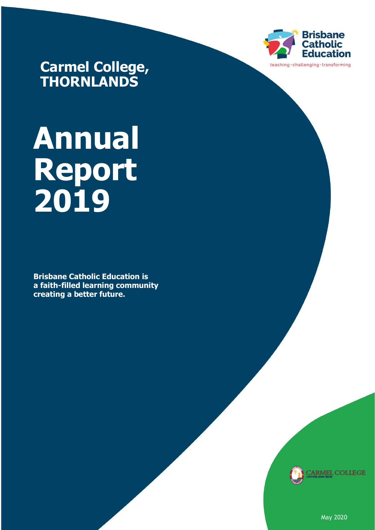

**Carmel College, THORNLANDS**

# **Annual Report 2019**

**Brisbane Catholic Education is a faith-filled learning community creating a better future.** 



May 2020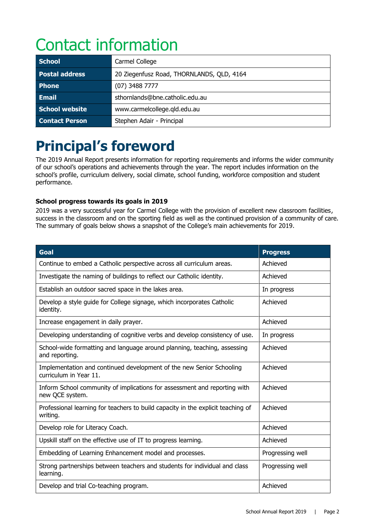# Contact information

| <b>School</b>         | Carmel College                            |
|-----------------------|-------------------------------------------|
| <b>Postal address</b> | 20 Ziegenfusz Road, THORNLANDS, QLD, 4164 |
| <b>Phone</b>          | $(07)$ 3488 7777                          |
| <b>Email</b>          | sthornlands@bne.catholic.edu.au           |
| School website        | www.carmelcollege.qld.edu.au              |
| <b>Contact Person</b> | Stephen Adair - Principal                 |

# **Principal's foreword**

The 2019 Annual Report presents information for reporting requirements and informs the wider community of our school's operations and achievements through the year. The report includes information on the school's profile, curriculum delivery, social climate, school funding, workforce composition and student performance.

# **School progress towards its goals in 2019**

2019 was a very successful year for Carmel College with the provision of excellent new classroom facilities, success in the classroom and on the sporting field as well as the continued provision of a community of care. The summary of goals below shows a snapshot of the College's main achievements for 2019.

| <b>Goal</b>                                                                                    | <b>Progress</b>  |
|------------------------------------------------------------------------------------------------|------------------|
| Continue to embed a Catholic perspective across all curriculum areas.                          | Achieved         |
| Investigate the naming of buildings to reflect our Catholic identity.                          | Achieved         |
| Establish an outdoor sacred space in the lakes area.                                           | In progress      |
| Develop a style guide for College signage, which incorporates Catholic<br>identity.            | Achieved         |
| Increase engagement in daily prayer.                                                           | Achieved         |
| Developing understanding of cognitive verbs and develop consistency of use.                    | In progress      |
| School-wide formatting and language around planning, teaching, assessing<br>and reporting.     | Achieved         |
| Implementation and continued development of the new Senior Schooling<br>curriculum in Year 11. | Achieved         |
| Inform School community of implications for assessment and reporting with<br>new QCE system.   | Achieved         |
| Professional learning for teachers to build capacity in the explicit teaching of<br>writing.   | Achieved         |
| Develop role for Literacy Coach.                                                               | Achieved         |
| Upskill staff on the effective use of IT to progress learning.                                 | Achieved         |
| Embedding of Learning Enhancement model and processes.                                         | Progressing well |
| Strong partnerships between teachers and students for individual and class<br>learning.        | Progressing well |
| Develop and trial Co-teaching program.                                                         | Achieved         |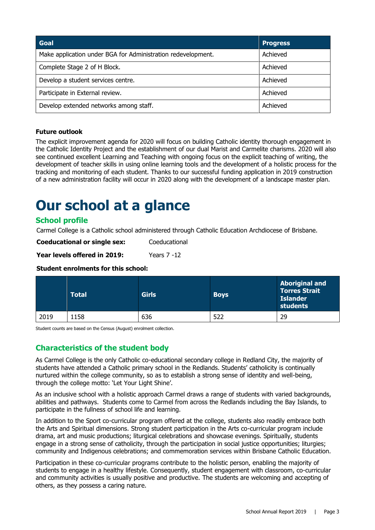| Goal                                                         | <b>Progress</b> |
|--------------------------------------------------------------|-----------------|
| Make application under BGA for Administration redevelopment. | Achieved        |
| Complete Stage 2 of H Block.                                 | Achieved        |
| Develop a student services centre.                           | Achieved        |
| Participate in External review.                              | Achieved        |
| Develop extended networks among staff.                       | Achieved        |

# **Future outlook**

The explicit improvement agenda for 2020 will focus on building Catholic identity thorough engagement in the Catholic Identity Project and the establishment of our dual Marist and Carmelite charisms. 2020 will also see continued excellent Learning and Teaching with ongoing focus on the explicit teaching of writing, the development of teacher skills in using online learning tools and the development of a holistic process for the tracking and monitoring of each student. Thanks to our successful funding application in 2019 construction of a new administration facility will occur in 2020 along with the development of a landscape master plan.

# **Our school at a glance**

# **School profile**

Carmel College is a Catholic school administered through Catholic Education Archdiocese of Brisbane.

**Coeducational or single sex:** Coeducational

**Year levels offered in 2019:** Years 7 -12

### **Student enrolments for this school:**

|      | <b>Total</b> | <b>Girls</b> | <b>Boys</b> | <b>Aboriginal and</b><br><b>Torres Strait</b><br><b>Islander</b><br>students |
|------|--------------|--------------|-------------|------------------------------------------------------------------------------|
| 2019 | 1158         | 636          | 522         | 29                                                                           |

Student counts are based on the Census (August) enrolment collection.

# **Characteristics of the student body**

As Carmel College is the only Catholic co-educational secondary college in Redland City, the majority of students have attended a Catholic primary school in the Redlands. Students' catholicity is continually nurtured within the college community, so as to establish a strong sense of identity and well-being, through the college motto: 'Let Your Light Shine'.

As an inclusive school with a holistic approach Carmel draws a range of students with varied backgrounds, abilities and pathways. Students come to Carmel from across the Redlands including the Bay Islands, to participate in the fullness of school life and learning.

In addition to the Sport co-curricular program offered at the college, students also readily embrace both the Arts and Spiritual dimensions. Strong student participation in the Arts co-curricular program include drama, art and music productions; liturgical celebrations and showcase evenings. Spiritually, students engage in a strong sense of catholicity, through the participation in social justice opportunities; liturgies; community and Indigenous celebrations; and commemoration services within Brisbane Catholic Education.

Participation in these co-curricular programs contribute to the holistic person, enabling the majority of students to engage in a healthy lifestyle. Consequently, student engagement with classroom, co-curricular and community activities is usually positive and productive. The students are welcoming and accepting of others, as they possess a caring nature.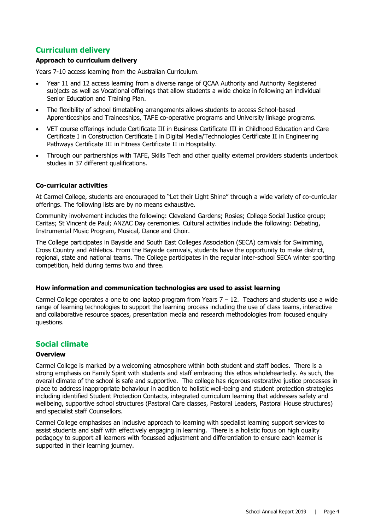# **Curriculum delivery**

### **Approach to curriculum delivery**

Years 7-10 access learning from the Australian Curriculum.

- Year 11 and 12 access learning from a diverse range of QCAA Authority and Authority Registered subjects as well as Vocational offerings that allow students a wide choice in following an individual Senior Education and Training Plan.
- The flexibility of school timetabling arrangements allows students to access School-based Apprenticeships and Traineeships, TAFE co-operative programs and University linkage programs.
- VET course offerings include Certificate III in Business Certificate III in Childhood Education and Care Certificate I in Construction Certificate I in Digital Media/Technologies Certificate II in Engineering Pathways Certificate III in Fitness Certificate II in Hospitality.
- Through our partnerships with TAFE, Skills Tech and other quality external providers students undertook studies in 37 different qualifications.

### **Co-curricular activities**

At Carmel College, students are encouraged to "Let their Light Shine" through a wide variety of co-curricular offerings. The following lists are by no means exhaustive.

Community involvement includes the following: Cleveland Gardens; Rosies; College Social Justice group; Caritas; St Vincent de Paul; ANZAC Day ceremonies. Cultural activities include the following: Debating, Instrumental Music Program, Musical, Dance and Choir.

The College participates in Bayside and South East Colleges Association (SECA) carnivals for Swimming, Cross Country and Athletics. From the Bayside carnivals, students have the opportunity to make district, regional, state and national teams. The College participates in the regular inter-school SECA winter sporting competition, held during terms two and three.

### **How information and communication technologies are used to assist learning**

Carmel College operates a one to one laptop program from Years  $7 - 12$ . Teachers and students use a wide range of learning technologies to support the learning process including the use of class teams, interactive and collaborative resource spaces, presentation media and research methodologies from focused enquiry questions.

# **Social climate**

### **Overview**

Carmel College is marked by a welcoming atmosphere within both student and staff bodies. There is a strong emphasis on Family Spirit with students and staff embracing this ethos wholeheartedly. As such, the overall climate of the school is safe and supportive. The college has rigorous restorative justice processes in place to address inappropriate behaviour in addition to holistic well-being and student protection strategies including identified Student Protection Contacts, integrated curriculum learning that addresses safety and wellbeing, supportive school structures (Pastoral Care classes, Pastoral Leaders, Pastoral House structures) and specialist staff Counsellors.

Carmel College emphasises an inclusive approach to learning with specialist learning support services to assist students and staff with effectively engaging in learning. There is a holistic focus on high quality pedagogy to support all learners with focussed adjustment and differentiation to ensure each learner is supported in their learning journey.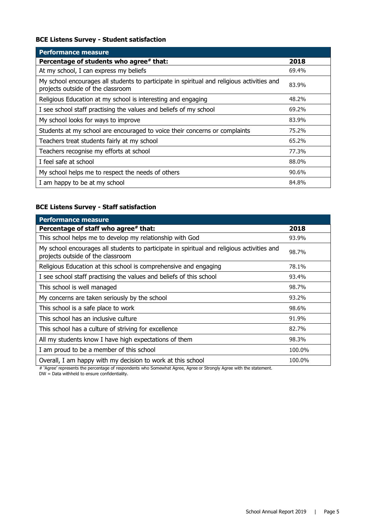# **BCE Listens Survey - Student satisfaction**

| <b>Performance measure</b>                                                                                                      |       |
|---------------------------------------------------------------------------------------------------------------------------------|-------|
| Percentage of students who agree# that:                                                                                         | 2018  |
| At my school, I can express my beliefs                                                                                          | 69.4% |
| My school encourages all students to participate in spiritual and religious activities and<br>projects outside of the classroom | 83.9% |
| Religious Education at my school is interesting and engaging                                                                    | 48.2% |
| I see school staff practising the values and beliefs of my school                                                               | 69.2% |
| My school looks for ways to improve                                                                                             | 83.9% |
| Students at my school are encouraged to voice their concerns or complaints                                                      | 75.2% |
| Teachers treat students fairly at my school                                                                                     | 65.2% |
| Teachers recognise my efforts at school                                                                                         | 77.3% |
| I feel safe at school                                                                                                           | 88.0% |
| My school helps me to respect the needs of others                                                                               | 90.6% |
| I am happy to be at my school                                                                                                   | 84.8% |

# **BCE Listens Survey - Staff satisfaction**

| <b>Performance measure</b>                                                                                                      |        |
|---------------------------------------------------------------------------------------------------------------------------------|--------|
| Percentage of staff who agree# that:                                                                                            | 2018   |
| This school helps me to develop my relationship with God                                                                        | 93.9%  |
| My school encourages all students to participate in spiritual and religious activities and<br>projects outside of the classroom | 98.7%  |
| Religious Education at this school is comprehensive and engaging                                                                | 78.1%  |
| I see school staff practising the values and beliefs of this school                                                             | 93.4%  |
| This school is well managed                                                                                                     | 98.7%  |
| My concerns are taken seriously by the school                                                                                   | 93.2%  |
| This school is a safe place to work                                                                                             | 98.6%  |
| This school has an inclusive culture                                                                                            | 91.9%  |
| This school has a culture of striving for excellence                                                                            | 82.7%  |
| All my students know I have high expectations of them                                                                           | 98.3%  |
| I am proud to be a member of this school                                                                                        | 100.0% |
| Overall, I am happy with my decision to work at this school                                                                     | 100.0% |

# 'Agree' represents the percentage of respondents who Somewhat Agree, Agree or Strongly Agree with the statement.

DW = Data withheld to ensure confidentiality.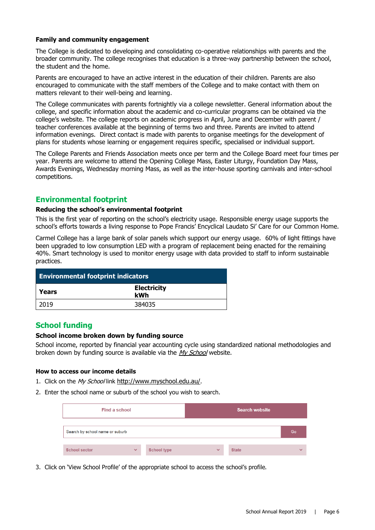### **Family and community engagement**

The College is dedicated to developing and consolidating co-operative relationships with parents and the broader community. The college recognises that education is a three-way partnership between the school, the student and the home.

Parents are encouraged to have an active interest in the education of their children. Parents are also encouraged to communicate with the staff members of the College and to make contact with them on matters relevant to their well-being and learning.

The College communicates with parents fortnightly via a college newsletter. General information about the college, and specific information about the academic and co-curricular programs can be obtained via the college's website. The college reports on academic progress in April, June and December with parent / teacher conferences available at the beginning of terms two and three. Parents are invited to attend information evenings. Direct contact is made with parents to organise meetings for the development of plans for students whose learning or engagement requires specific, specialised or individual support.

The College Parents and Friends Association meets once per term and the College Board meet four times per year. Parents are welcome to attend the Opening College Mass, Easter Liturgy, Foundation Day Mass, Awards Evenings, Wednesday morning Mass, as well as the inter-house sporting carnivals and inter-school competitions.

# **Environmental footprint**

#### **Reducing the school's environmental footprint**

This is the first year of reporting on the school's electricity usage. Responsible energy usage supports the school's efforts towards a living response to Pope Francis' Encyclical Laudato Si' Care for our Common Home.

Carmel College has a large bank of solar panels which support our energy usage. 60% of light fittings have been upgraded to low consumption LED with a program of replacement being enacted for the remaining 40%. Smart technology is used to monitor energy usage with data provided to staff to inform sustainable practices.

| <b>Environmental footprint indicators</b> |                           |  |
|-------------------------------------------|---------------------------|--|
| l Years                                   | <b>Electricity</b><br>kWh |  |
| 2019                                      | 384035                    |  |

# **School funding**

#### **School income broken down by funding source**

School income, reported by financial year accounting cycle using standardized national methodologies and broken down by funding source is available via the [My School](http://www.myschool.edu.au/) website.

#### **How to access our income details**

- 1. Click on the My School link <http://www.myschool.edu.au/>.
- 2. Enter the school name or suburb of the school you wish to search.

| Find a school                   |              |                    | <b>Search website</b> |              |              |
|---------------------------------|--------------|--------------------|-----------------------|--------------|--------------|
| Search by school name or suburb |              |                    |                       |              | Go           |
| <b>School sector</b>            | $\checkmark$ | <b>School type</b> | $\checkmark$          | <b>State</b> | $\checkmark$ |

3. Click on 'View School Profile' of the appropriate school to access the school's profile.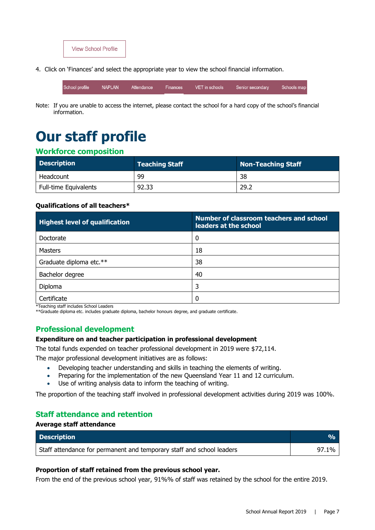

4. Click on 'Finances' and select the appropriate year to view the school financial information.

**NAPLAN** Schools map School profile Attendance Finances VET in schools Senior secondary

Note: If you are unable to access the internet, please contact the school for a hard copy of the school's financial information.

# **Our staff profile**

# **Workforce composition**

| <b>Description</b>           | <b>Teaching Staff</b> | Non-Teaching Staff |
|------------------------------|-----------------------|--------------------|
| Headcount                    | 99                    | 38                 |
| <b>Full-time Equivalents</b> | 92.33                 | 29.2               |

### **Qualifications of all teachers\***

| <b>Highest level of qualification</b> | Number of classroom teachers and school<br>leaders at the school |
|---------------------------------------|------------------------------------------------------------------|
| Doctorate                             | 0                                                                |
| <b>Masters</b>                        | 18                                                               |
| Graduate diploma etc.**               | 38                                                               |
| Bachelor degree                       | 40                                                               |
| Diploma                               | 3                                                                |
| Certificate                           | 0                                                                |

\*Teaching staff includes School Leaders

\*\*Graduate diploma etc. includes graduate diploma, bachelor honours degree, and graduate certificate.

# **Professional development**

### **Expenditure on and teacher participation in professional development**

The total funds expended on teacher professional development in 2019 were \$72,114.

The major professional development initiatives are as follows:

- Developing teacher understanding and skills in teaching the elements of writing.
- Preparing for the implementation of the new Queensland Year 11 and 12 curriculum.
- Use of writing analysis data to inform the teaching of writing.

The proportion of the teaching staff involved in professional development activities during 2019 was 100%.

# **Staff attendance and retention**

# **Average staff attendance**

| <b>Description</b>                                                    |       |
|-----------------------------------------------------------------------|-------|
| Staff attendance for permanent and temporary staff and school leaders | 97.1% |

### **Proportion of staff retained from the previous school year.**

From the end of the previous school year, 91%% of staff was retained by the school for the entire 2019.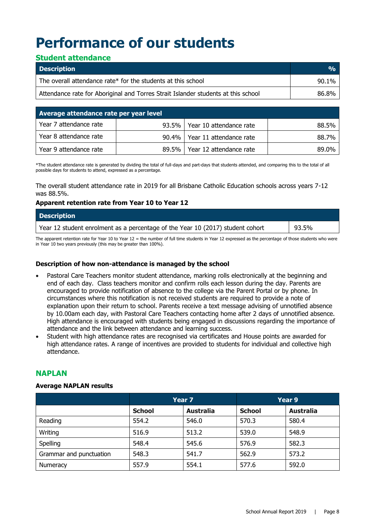# **Performance of our students**

# **Student attendance**

| <b>Description</b>                                                                | $\frac{0}{0}$ |
|-----------------------------------------------------------------------------------|---------------|
| The overall attendance rate* for the students at this school                      | 90.1%         |
| Attendance rate for Aboriginal and Torres Strait Islander students at this school | 86.8%         |

| Average attendance rate per year level |          |                                 |       |  |
|----------------------------------------|----------|---------------------------------|-------|--|
| Year 7 attendance rate                 |          | 93.5%   Year 10 attendance rate | 88.5% |  |
| Year 8 attendance rate                 | $90.4\%$ | Year 11 attendance rate         | 88.7% |  |
| Year 9 attendance rate                 | $89.5\%$ | Year 12 attendance rate         | 89.0% |  |

\*The student attendance rate is generated by dividing the total of full-days and part-days that students attended, and comparing this to the total of all possible days for students to attend, expressed as a percentage.

The overall student attendance rate in 2019 for all Brisbane Catholic Education schools across years 7-12 was 88.5%.

#### **Apparent retention rate from Year 10 to Year 12**

| <b>Description</b>                                                             |       |
|--------------------------------------------------------------------------------|-------|
| Year 12 student enrolment as a percentage of the Year 10 (2017) student cohort | 93.5% |

The apparent retention rate for Year 10 to Year 12 = the number of full time students in Year 12 expressed as the percentage of those students who were in Year 10 two years previously (this may be greater than 100%).

### **Description of how non-attendance is managed by the school**

- Pastoral Care Teachers monitor student attendance, marking rolls electronically at the beginning and end of each day. Class teachers monitor and confirm rolls each lesson during the day. Parents are encouraged to provide notification of absence to the college via the Parent Portal or by phone. In circumstances where this notification is not received students are required to provide a note of explanation upon their return to school. Parents receive a text message advising of unnotified absence by 10.00am each day, with Pastoral Care Teachers contacting home after 2 days of unnotified absence. High attendance is encouraged with students being engaged in discussions regarding the importance of attendance and the link between attendance and learning success.
- Student with high attendance rates are recognised via certificates and House points are awarded for high attendance rates. A range of incentives are provided to students for individual and collective high attendance.

# **NAPLAN**

### **Average NAPLAN results**

|                         | Year <sub>7</sub> |                  | Year 9        |                  |
|-------------------------|-------------------|------------------|---------------|------------------|
|                         | <b>School</b>     | <b>Australia</b> | <b>School</b> | <b>Australia</b> |
| Reading                 | 554.2             | 546.0            | 570.3         | 580.4            |
| Writing                 | 516.9             | 513.2            | 539.0         | 548.9            |
| Spelling                | 548.4             | 545.6            | 576.9         | 582.3            |
| Grammar and punctuation | 548.3             | 541.7            | 562.9         | 573.2            |
| Numeracy                | 557.9             | 554.1            | 577.6         | 592.0            |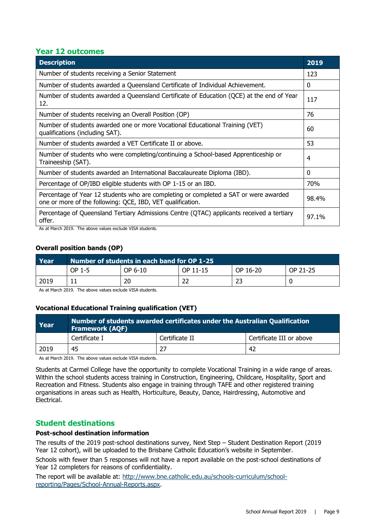# **Year 12 outcomes**

| <b>Description</b>                                                                                                                                 | 2019  |
|----------------------------------------------------------------------------------------------------------------------------------------------------|-------|
| Number of students receiving a Senior Statement                                                                                                    | 123   |
| Number of students awarded a Queensland Certificate of Individual Achievement.                                                                     | 0     |
| Number of students awarded a Queensland Certificate of Education (QCE) at the end of Year<br>12.                                                   | 117   |
| Number of students receiving an Overall Position (OP)                                                                                              | 76    |
| Number of students awarded one or more Vocational Educational Training (VET)<br>qualifications (including SAT).                                    | 60    |
| Number of students awarded a VET Certificate II or above.                                                                                          | 53    |
| Number of students who were completing/continuing a School-based Apprenticeship or<br>Traineeship (SAT).                                           | 4     |
| Number of students awarded an International Baccalaureate Diploma (IBD).                                                                           | 0     |
| Percentage of OP/IBD eligible students with OP 1-15 or an IBD.                                                                                     | 70%   |
| Percentage of Year 12 students who are completing or completed a SAT or were awarded<br>one or more of the following: QCE, IBD, VET qualification. | 98.4% |
| Percentage of Queensland Tertiary Admissions Centre (QTAC) applicants received a tertiary<br>offer.                                                | 97.1% |

As at March 2019. The above values exclude VISA students.

# **Overall position bands (OP)**

| Year | Number of students in each band for OP 1-25 |         |          |          |          |
|------|---------------------------------------------|---------|----------|----------|----------|
|      | OP 1-5                                      | OP 6-10 | OP 11-15 | OP 16-20 | OP 21-25 |
| 2019 |                                             | 20      | 22       | 23       |          |

As at March 2019. The above values exclude VISA students.

### **Vocational Educational Training qualification (VET)**

| Year          | Number of students awarded certificates under the Australian Qualification<br><b>Framework (AQF)</b> |                          |  |  |
|---------------|------------------------------------------------------------------------------------------------------|--------------------------|--|--|
| Certificate I | Certificate II                                                                                       | Certificate III or above |  |  |
| 2019<br>45    |                                                                                                      | 42                       |  |  |
|               |                                                                                                      |                          |  |  |

As at March 2019. The above values exclude VISA students.

Students at Carmel College have the opportunity to complete Vocational Training in a wide range of areas. Within the school students access training in Construction, Engineering, Childcare, Hospitality, Sport and Recreation and Fitness. Students also engage in training through TAFE and other registered training organisations in areas such as Health, Horticulture, Beauty, Dance, Hairdressing, Automotive and Electrical.

# **Student destinations**

## **Post-school destination information**

The results of the 2019 post-school destinations survey, Next Step – Student Destination Report (2019 Year 12 cohort), will be uploaded to the Brisbane Catholic Education's website in September.

Schools with fewer than 5 responses will not have a report available on the post-school destinations of Year 12 completers for reasons of confidentiality.

The report will be available at: [http://www.bne.catholic.edu.au/schools-curriculum/school](http://www.bne.catholic.edu.au/schools-curriculum/school-reporting/Pages/School-Annual-Reports.aspx)[reporting/Pages/School-Annual-Reports.aspx.](http://www.bne.catholic.edu.au/schools-curriculum/school-reporting/Pages/School-Annual-Reports.aspx)